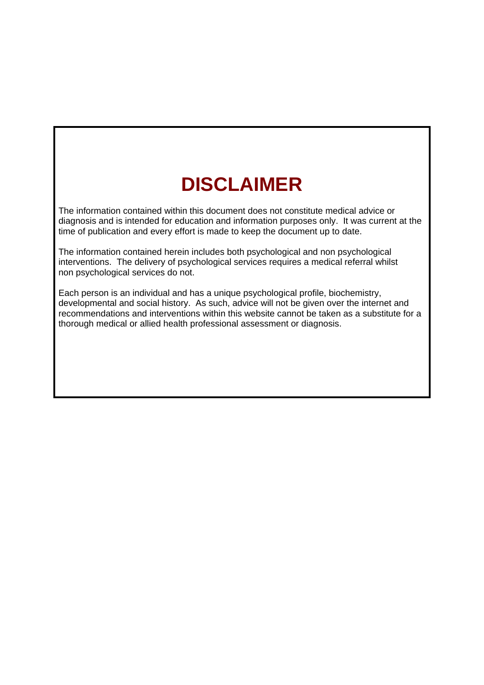# **DISCLAIMER**

The information contained within this document does not constitute medical advice or diagnosis and is intended for education and information purposes only. It was current at the time of publication and every effort is made to keep the document up to date.

The information contained herein includes both psychological and non psychological interventions. The delivery of psychological services requires a medical referral whilst non psychological services do not.

Each person is an individual and has a unique psychological profile, biochemistry, developmental and social history. As such, advice will not be given over the internet and recommendations and interventions within this website cannot be taken as a substitute for a thorough medical or allied health professional assessment or diagnosis.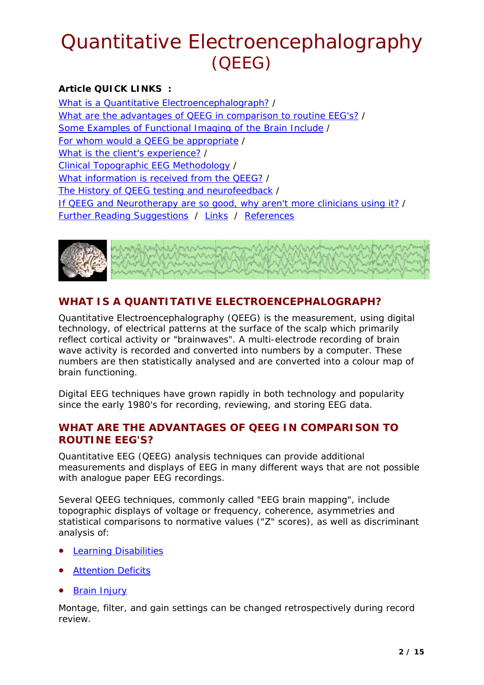# <span id="page-1-0"></span>Quantitative Electroencephalography (QEEG)

## **Article QUICK LINKS :**

[What is a Quantitative Electroencephalograph?](#page-1-0) / [What are the advantages of QEEG in comparison to routine EEG's?](#page-1-0) / [Some Examples of Functional Imaging of the Brain Include](#page-3-0) / [For whom would a QEEG be appropriate](#page-7-0) / [What is the client's experience?](#page-8-0) / [Clinical Topographic EEG Methodology](#page-8-0) / [What information is received from the QEEG?](#page-9-0) / [The History of QEEG testing and neurofeedback](#page-9-0) / [If QEEG and Neurotherapy are so good, why aren't more clinicians using it?](#page-10-0) / [Further Reading Suggestions](#page-11-0) / [Links](#page-11-0) / References



## **WHAT IS A QUANTITATIVE ELECTROENCEPHALOGRAPH?**

Quantitative Electroencephalography (QEEG) is the measurement, using digital technology, of electrical patterns at the surface of the scalp which primarily reflect cortical activity or "brainwaves". A multi-electrode recording of brain wave activity is recorded and converted into numbers by a computer. These numbers are then statistically analysed and are converted into a colour map of brain functioning.

Digital EEG techniques have grown rapidly in both technology and popularity since the early 1980's for recording, reviewing, and storing EEG data.

## **WHAT ARE THE ADVANTAGES OF QEEG IN COMPARISON TO ROUTINE EEG'S?**

Quantitative EEG (QEEG) analysis techniques can provide additional measurements and displays of EEG in many different ways that are not possible with analogue paper EEG recordings.

Several QEEG techniques, commonly called "EEG brain mapping", include topographic displays of voltage or frequency, coherence, asymmetries and statistical comparisons to normative values ("Z" scores), as well as discriminant analysis of:

- [Learning Disabilities](#page-11-0)
- **[Attention Deficits](#page-11-0)**
- [Brain Injury](#page-11-0)

Montage, filter, and gain settings can be changed retrospectively during record review.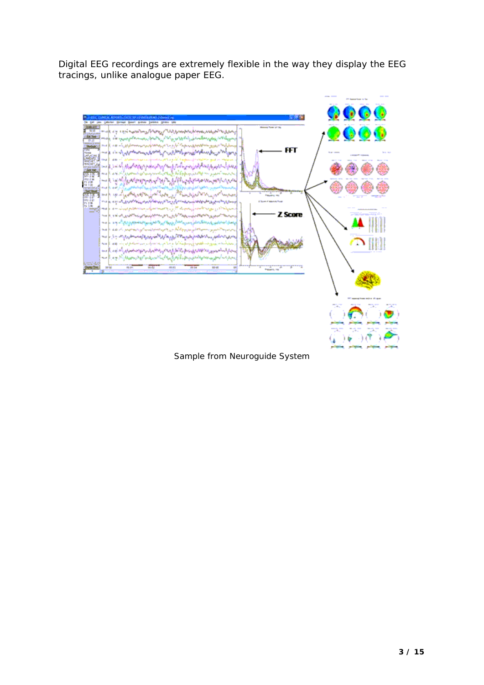Digital EEG recordings are extremely flexible in the way they display the EEG tracings, unlike analogue paper EEG.



Sample from Neuroguide System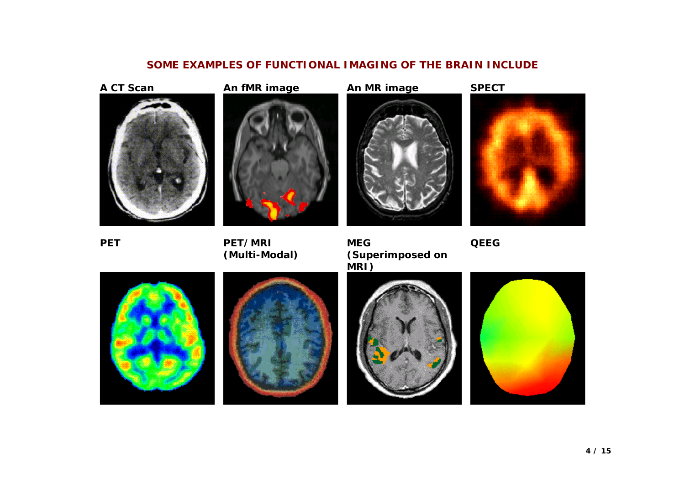## **SOME EXAMPLES OF FUNCTIONAL IMAGING OF THE BRAIN INCLUDE**





**PET**



**PET/MRI** 

**(Multi-Modal)** 



<span id="page-3-0"></span>



**MEG (Superimposed on MRI)**

**QEEG**



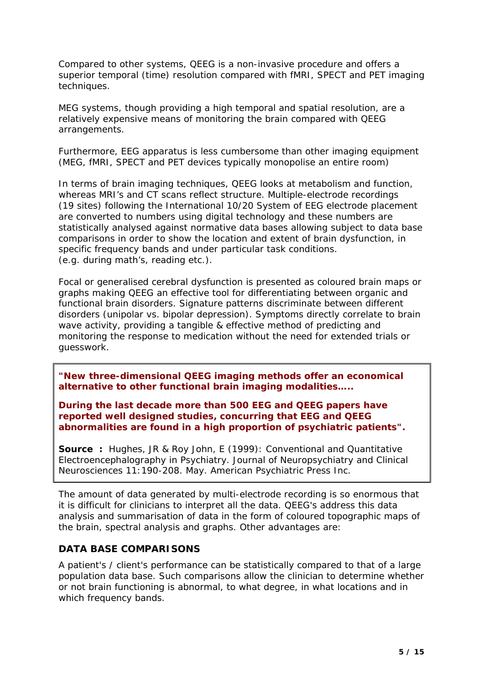Compared to other systems, QEEG is a non-invasive procedure and offers a superior temporal (time) resolution compared with fMRI, SPECT and PET imaging techniques.

MEG systems, though providing a high temporal and spatial resolution, are a relatively expensive means of monitoring the brain compared with QEEG arrangements.

Furthermore, EEG apparatus is less cumbersome than other imaging equipment (MEG, fMRI, SPECT and PET devices typically monopolise an entire room)

In terms of brain imaging techniques, QEEG looks at metabolism and function, whereas MRI's and CT scans reflect structure. Multiple-electrode recordings (19 sites) following the International 10/20 System of EEG electrode placement are converted to numbers using digital technology and these numbers are statistically analysed against normative data bases allowing subject to data base comparisons in order to show the location and extent of brain dysfunction, in specific frequency bands and under particular task conditions. (e.g. during math's, reading etc.).

Focal or generalised cerebral dysfunction is presented as coloured brain maps or graphs making QEEG an effective tool for differentiating between organic and functional brain disorders. Signature patterns discriminate between different disorders (unipolar vs. bipolar depression). Symptoms directly correlate to brain wave activity, providing a tangible & effective method of predicting and monitoring the response to medication without the need for extended trials or guesswork.

**"New three-dimensional QEEG imaging methods offer an economical alternative to other functional brain imaging modalities…..** 

**During the last decade more than 500 EEG and QEEG papers have reported well designed studies, concurring that EEG and QEEG abnormalities are found in a high proportion of psychiatric patients".** 

**Source**: Hughes, JR & Roy John, E (1999): Conventional and Quantitative Electroencephalography in Psychiatry. Journal of Neuropsychiatry and Clinical Neurosciences 11:190-208. May. American Psychiatric Press Inc.

The amount of data generated by multi-electrode recording is so enormous that it is difficult for clinicians to interpret all the data. QEEG's address this data analysis and summarisation of data in the form of coloured topographic maps of the brain, spectral analysis and graphs. Other advantages are:

#### **DATA BASE COMPARISONS**

A patient's / client's performance can be statistically compared to that of a large population data base. Such comparisons allow the clinician to determine whether or not brain functioning is abnormal, to what degree, in what locations and in which frequency bands.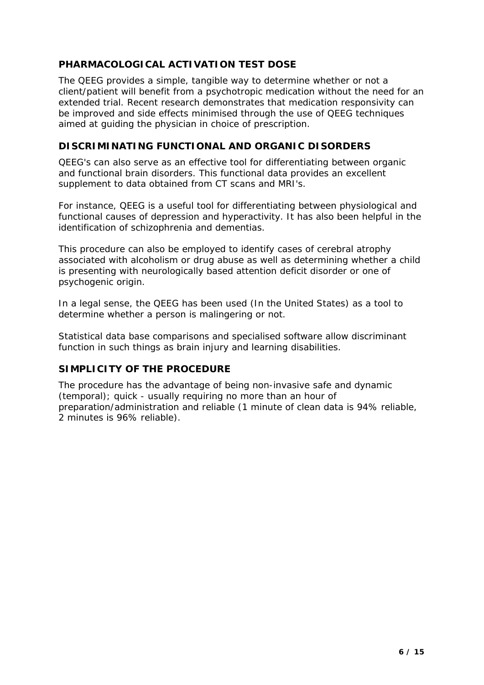### **PHARMACOLOGICAL ACTIVATION TEST DOSE**

The QEEG provides a simple, tangible way to determine whether or not a client/patient will benefit from a psychotropic medication without the need for an extended trial. Recent research demonstrates that medication responsivity can be improved and side effects minimised through the use of QEEG techniques aimed at guiding the physician in choice of prescription.

#### **DISCRIMINATING FUNCTIONAL AND ORGANIC DISORDERS**

QEEG's can also serve as an effective tool for differentiating between organic and functional brain disorders. This functional data provides an excellent supplement to data obtained from CT scans and MRI's.

For instance, QEEG is a useful tool for differentiating between physiological and functional causes of depression and hyperactivity. It has also been helpful in the identification of schizophrenia and dementias.

This procedure can also be employed to identify cases of cerebral atrophy associated with alcoholism or drug abuse as well as determining whether a child is presenting with neurologically based attention deficit disorder or one of psychogenic origin.

In a legal sense, the QEEG has been used (In the United States) as a tool to determine whether a person is malingering or not.

Statistical data base comparisons and specialised software allow discriminant function in such things as brain injury and learning disabilities.

## **SIMPLICITY OF THE PROCEDURE**

The procedure has the advantage of being non-invasive safe and dynamic (temporal); quick - usually requiring no more than an hour of preparation/administration and reliable (1 minute of clean data is 94% reliable, 2 minutes is 96% reliable).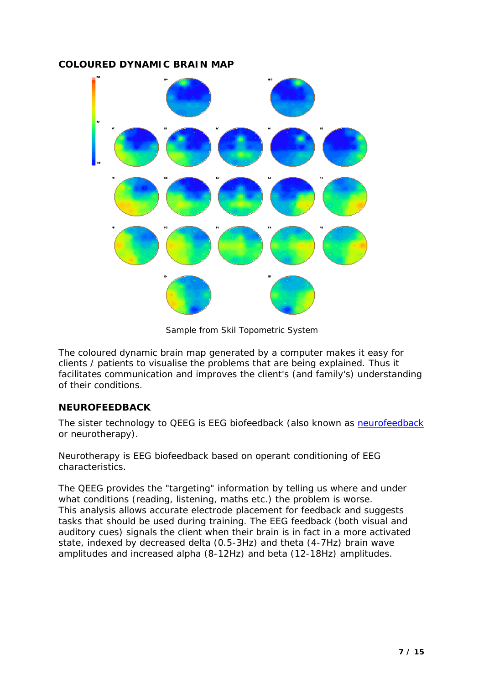#### **COLOURED DYNAMIC BRAIN MAP**



Sample from Skil Topometric System

The coloured dynamic brain map generated by a computer makes it easy for clients / patients to visualise the problems that are being explained. Thus it facilitates communication and improves the client's (and family's) understanding of their conditions.

#### **NEUROFEEDBACK**

The sister technology to QEEG is EEG biofeedback (also known as [neurofeedback](#page-11-0) or neurotherapy).

Neurotherapy is EEG biofeedback based on operant conditioning of EEG characteristics.

The QEEG provides the "targeting" information by telling us where and under what conditions (reading, listening, maths etc.) the problem is worse. This analysis allows accurate electrode placement for feedback and suggests tasks that should be used during training. The EEG feedback (both visual and auditory cues) signals the client when their brain is in fact in a more activated state, indexed by decreased delta (0.5-3Hz) and theta (4-7Hz) brain wave amplitudes and increased alpha (8-12Hz) and beta (12-18Hz) amplitudes.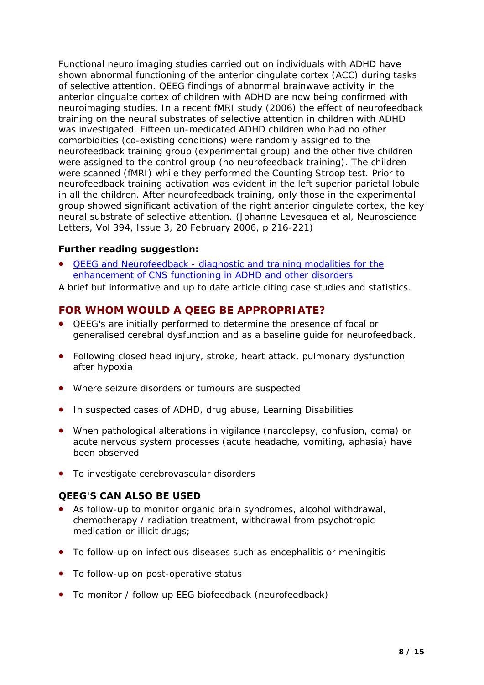<span id="page-7-0"></span>Functional neuro imaging studies carried out on individuals with ADHD have shown abnormal functioning of the anterior cingulate cortex (ACC) during tasks of selective attention. QEEG findings of abnormal brainwave activity in the anterior cingualte cortex of children with ADHD are now being confirmed with neuroimaging studies. In a recent fMRI study (2006) the effect of neurofeedback training on the neural substrates of selective attention in children with ADHD was investigated. Fifteen un-medicated ADHD children who had no other comorbidities (co-existing conditions) were randomly assigned to the neurofeedback training group (experimental group) and the other five children were assigned to the control group (no neurofeedback training). The children were scanned (fMRI) while they performed the Counting Stroop test. Prior to neurofeedback training activation was evident in the left superior parietal lobule in all the children. After neurofeedback training, only those in the experimental group showed significant activation of the right anterior cingulate cortex, the key neural substrate of selective attention. (Johanne Levesquea et al, Neuroscience Letters, Vol 394, Issue 3, 20 February 2006, p 216-221)

#### *Further reading suggestion:*

• [QEEG and Neurofeedback - diagnostic and training modalities for the](#page-11-0)  [enhancement of CNS functioning in ADHD and other disorders](#page-11-0)

A brief but informative and up to date article citing case studies and statistics.

## **FOR WHOM WOULD A QEEG BE APPROPRIATE?**

- QEEG's are initially performed to determine the presence of focal or generalised cerebral dysfunction and as a baseline guide for neurofeedback.
- Following closed head injury, stroke, heart attack, pulmonary dysfunction after hypoxia
- Where seizure disorders or tumours are suspected
- In suspected cases of ADHD, drug abuse, Learning Disabilities
- When pathological alterations in vigilance (narcolepsy, confusion, coma) or acute nervous system processes (acute headache, vomiting, aphasia) have been observed
- To investigate cerebrovascular disorders

#### **QEEG'S CAN ALSO BE USED**

- As follow-up to monitor organic brain syndromes, alcohol withdrawal, chemotherapy / radiation treatment, withdrawal from psychotropic medication or illicit drugs;
- To follow-up on infectious diseases such as encephalitis or meningitis
- To follow-up on post-operative status
- To monitor / follow up EEG biofeedback (neurofeedback)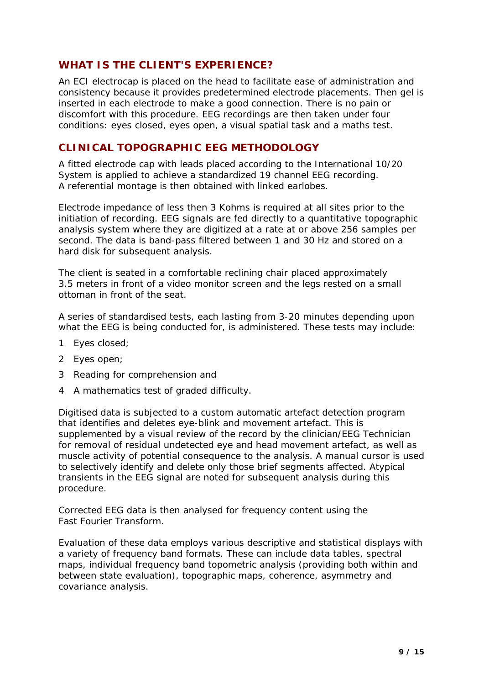## <span id="page-8-0"></span>**WHAT IS THE CLIENT'S EXPERIENCE?**

An ECI electrocap is placed on the head to facilitate ease of administration and consistency because it provides predetermined electrode placements. Then gel is inserted in each electrode to make a good connection. There is no pain or discomfort with this procedure. EEG recordings are then taken under four conditions: eyes closed, eyes open, a visual spatial task and a maths test.

## **CLINICAL TOPOGRAPHIC EEG METHODOLOGY**

A fitted electrode cap with leads placed according to the International 10/20 System is applied to achieve a standardized 19 channel EEG recording. A referential montage is then obtained with linked earlobes.

Electrode impedance of less then 3 Kohms is required at all sites prior to the initiation of recording. EEG signals are fed directly to a quantitative topographic analysis system where they are digitized at a rate at or above 256 samples per second. The data is band-pass filtered between 1 and 30 Hz and stored on a hard disk for subsequent analysis.

The client is seated in a comfortable reclining chair placed approximately 3.5 meters in front of a video monitor screen and the legs rested on a small ottoman in front of the seat.

A series of standardised tests, each lasting from 3-20 minutes depending upon what the EEG is being conducted for, is administered. These tests may include:

- 1 Eyes closed;
- 2 Eyes open;
- 3 Reading for comprehension and
- 4 A mathematics test of graded difficulty.

Digitised data is subjected to a custom automatic artefact detection program that identifies and deletes eye-blink and movement artefact. This is supplemented by a visual review of the record by the clinician/EEG Technician for removal of residual undetected eye and head movement artefact, as well as muscle activity of potential consequence to the analysis. A manual cursor is used to selectively identify and delete only those brief segments affected. Atypical transients in the EEG signal are noted for subsequent analysis during this procedure.

Corrected EEG data is then analysed for frequency content using the Fast Fourier Transform.

Evaluation of these data employs various descriptive and statistical displays with a variety of frequency band formats. These can include data tables, spectral maps, individual frequency band topometric analysis (providing both within and between state evaluation), topographic maps, coherence, asymmetry and covariance analysis.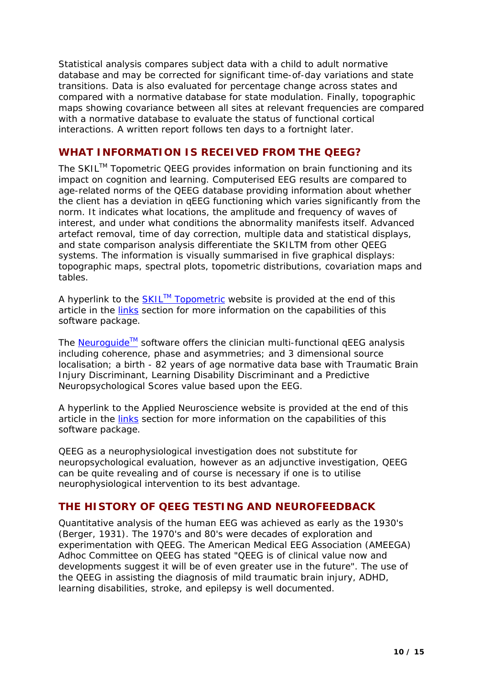<span id="page-9-0"></span>Statistical analysis compares subject data with a child to adult normative database and may be corrected for significant time-of-day variations and state transitions. Data is also evaluated for percentage change across states and compared with a normative database for state modulation. Finally, topographic maps showing covariance between all sites at relevant frequencies are compared with a normative database to evaluate the status of functional cortical interactions. A written report follows ten days to a fortnight later.

## **WHAT INFORMATION IS RECEIVED FROM THE QEEG?**

The SKIL™ Topometric QEEG provides information on brain functioning and its impact on cognition and learning. Computerised EEG results are compared to age-related norms of the QEEG database providing information about whether the client has a deviation in qEEG functioning which varies significantly from the norm. It indicates what locations, the amplitude and frequency of waves of interest, and under what conditions the abnormality manifests itself. Advanced artefact removal, time of day correction, multiple data and statistical displays, and state comparison analysis differentiate the SKILTM from other QEEG systems. The information is visually summarised in five graphical displays: topographic maps, spectral plots, topometric distributions, covariation maps and tables.

A hyperlink to the [SKIL](http://www.skiltopo.com/)™ Topometric website is provided at the end of this article in the links section for more information on the capabilities of this software package.

The Neuroquide™ software offers the clinician multi-functional qEEG analysis including coherence, phase and asymmetries; and 3 dimensional source localisation; a birth - 82 years of age normative data base with Traumatic Brain Injury Discriminant, Learning Disability Discriminant and a Predictive Neuropsychological Scores value based upon the EEG.

A hyperlink to the Applied Neuroscience website is provided at the end of this article in the [links](#page-11-0) section for more information on the capabilities of this software package.

QEEG as a neurophysiological investigation does not substitute for neuropsychological evaluation, however as an adjunctive investigation, QEEG can be quite revealing and of course is necessary if one is to utilise neurophysiological intervention to its best advantage.

## **THE HISTORY OF QEEG TESTING AND NEUROFEEDBACK**

Quantitative analysis of the human EEG was achieved as early as the 1930's (Berger, 1931). The 1970's and 80's were decades of exploration and experimentation with QEEG. The American Medical EEG Association (AMEEGA) Adhoc Committee on QEEG has stated "QEEG is of clinical value now and developments suggest it will be of even greater use in the future". The use of the QEEG in assisting the diagnosis of mild traumatic brain injury, ADHD, learning disabilities, stroke, and epilepsy is well documented.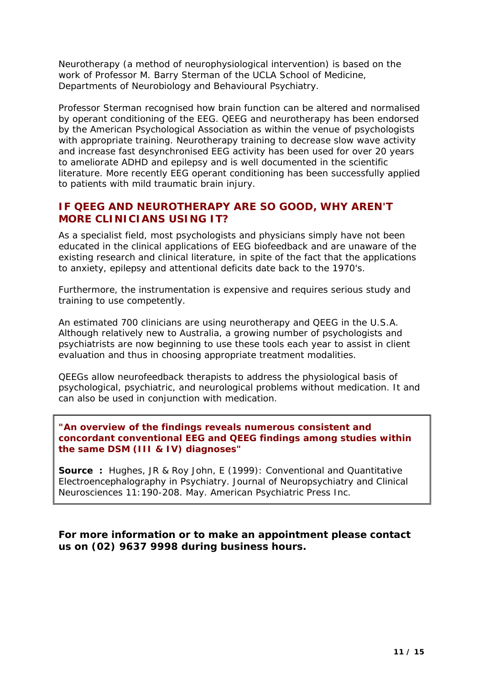<span id="page-10-0"></span>Neurotherapy (a method of neurophysiological intervention) is based on the work of Professor M. Barry Sterman of the UCLA School of Medicine, Departments of Neurobiology and Behavioural Psychiatry.

Professor Sterman recognised how brain function can be altered and normalised by operant conditioning of the EEG. QEEG and neurotherapy has been endorsed by the American Psychological Association as within the venue of psychologists with appropriate training. Neurotherapy training to decrease slow wave activity and increase fast desynchronised EEG activity has been used for over 20 years to ameliorate ADHD and epilepsy and is well documented in the scientific literature. More recently EEG operant conditioning has been successfully applied to patients with mild traumatic brain injury.

## **IF QEEG AND NEUROTHERAPY ARE SO GOOD, WHY AREN'T MORE CLINICIANS USING IT?**

As a specialist field, most psychologists and physicians simply have not been educated in the clinical applications of EEG biofeedback and are unaware of the existing research and clinical literature, in spite of the fact that the applications to anxiety, epilepsy and attentional deficits date back to the 1970's.

Furthermore, the instrumentation is expensive and requires serious study and training to use competently.

An estimated 700 clinicians are using neurotherapy and QEEG in the U.S.A. Although relatively new to Australia, a growing number of psychologists and psychiatrists are now beginning to use these tools each year to assist in client evaluation and thus in choosing appropriate treatment modalities.

QEEGs allow neurofeedback therapists to address the physiological basis of psychological, psychiatric, and neurological problems without medication. It and can also be used in conjunction with medication.

#### **"An overview of the findings reveals numerous consistent and concordant conventional EEG and QEEG findings among studies within the same DSM (III & IV) diagnoses"**

**Source**: Hughes, JR & Roy John, E (1999): Conventional and Quantitative Electroencephalography in Psychiatry. Journal of Neuropsychiatry and Clinical Neurosciences 11:190-208. May. American Psychiatric Press Inc.

**For more information or to make an appointment please contact us on (02) 9637 9998 during business hours.**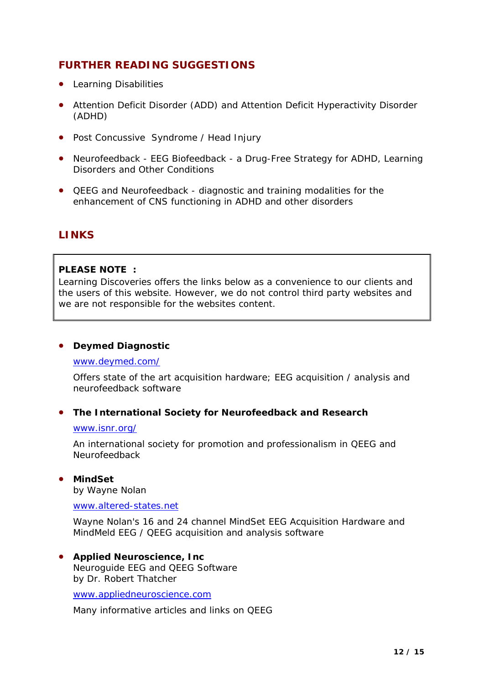## <span id="page-11-0"></span>**FURTHER READING SUGGESTIONS**

- Learning Disabilities
- Attention Deficit Disorder (ADD) and Attention Deficit Hyperactivity Disorder (ADHD)
- Post Concussive Syndrome / Head Injury
- Neurofeedback EEG Biofeedback a Drug-Free Strategy for ADHD, Learning Disorders and Other Conditions
- QEEG and Neurofeedback diagnostic and training modalities for the enhancement of CNS functioning in ADHD and other disorders

### **LINKS**

#### **PLEASE NOTE :**

Learning Discoveries offers the links below as a convenience to our clients and the users of this website. However, we do not control third party websites and we are not responsible for the websites content.

#### • **Deymed Diagnostic**

#### [www.deymed.com/](http://www.deymed.com/)

Offers state of the art acquisition hardware; EEG acquisition / analysis and neurofeedback software

#### • **The International Society for Neurofeedback and Research**

#### [www.isnr.org/](http://www.isnr.org/)

An international society for promotion and professionalism in QEEG and Neurofeedback

• **MindSet**

by Wayne Nolan

#### [www.altered-states.net](http://www.altered-states.net/)

Wayne Nolan's 16 and 24 channel MindSet EEG Acquisition Hardware and MindMeld EEG / QEEG acquisition and analysis software

#### • **Applied Neuroscience, Inc**

Neuroguide EEG and QEEG Software by Dr. Robert Thatcher

[www.appliedneuroscience.com](http://www.appliedneuroscience.com/) 

Many informative articles and links on QEEG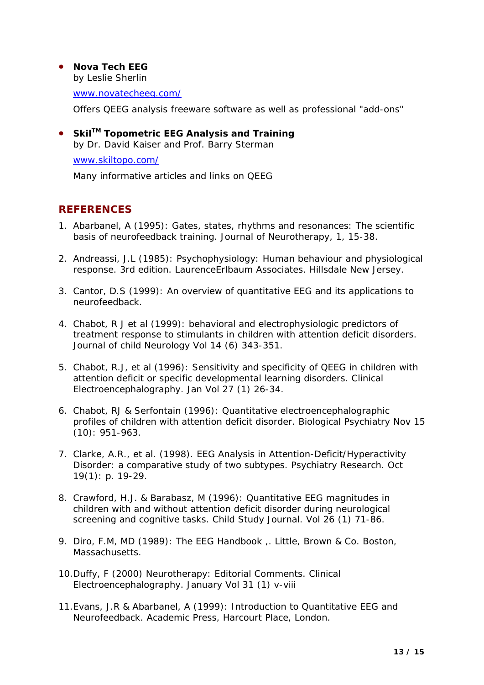## <span id="page-12-0"></span>• **Nova Tech EEG**

by Leslie Sherlin

[www.novatecheeg.com/](http://www.novatecheeg.com/)

Offers QEEG analysis freeware software as well as professional "add-ons"

• **SkilTM Topometric EEG Analysis and Training** by Dr. David Kaiser and Prof. Barry Sterman

[www.skiltopo.com/](http://www.skiltopo.com/) 

Many informative articles and links on QEEG

## **REFERENCES**

- 1. Abarbanel, A (1995): Gates, states, rhythms and resonances: The scientific basis of neurofeedback training. Journal of Neurotherapy, 1, 15-38.
- 2. Andreassi, J.L (1985): Psychophysiology: Human behaviour and physiological response. 3rd edition. LaurenceErlbaum Associates. Hillsdale New Jersey.
- 3. Cantor, D.S (1999): An overview of quantitative EEG and its applications to neurofeedback.
- 4. Chabot, R J et al (1999): behavioral and electrophysiologic predictors of treatment response to stimulants in children with attention deficit disorders. Journal of child Neurology Vol 14 (6) 343-351.
- 5. Chabot, R.J, et al (1996): Sensitivity and specificity of QEEG in children with attention deficit or specific developmental learning disorders. Clinical Electroencephalography. Jan Vol 27 (1) 26-34.
- 6. Chabot, RJ & Serfontain (1996): Quantitative electroencephalographic profiles of children with attention deficit disorder. Biological Psychiatry Nov 15 (10): 951-963.
- 7. Clarke, A.R., et al. (1998). EEG Analysis in Attention-Deficit/Hyperactivity Disorder: a comparative study of two subtypes. Psychiatry Research. Oct 19(1): p. 19-29.
- 8. Crawford, H.J. & Barabasz, M (1996): Quantitative EEG magnitudes in children with and without attention deficit disorder during neurological screening and cognitive tasks. Child Study Journal. Vol 26 (1) 71-86.
- 9. Diro, F.M, MD (1989): The EEG Handbook ,. Little, Brown & Co. Boston, Massachusetts.
- 10.Duffy, F (2000) Neurotherapy: Editorial Comments. Clinical Electroencephalography. January Vol 31 (1) v-viii
- 11.Evans, J.R & Abarbanel, A (1999): Introduction to Quantitative EEG and Neurofeedback. Academic Press, Harcourt Place, London.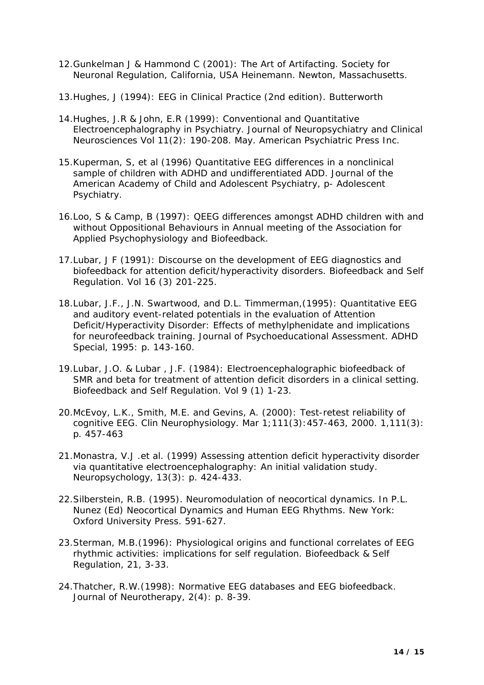- 12.Gunkelman J & Hammond C (2001): The Art of Artifacting. Society for Neuronal Regulation, California, USA Heinemann. Newton, Massachusetts.
- 13.Hughes, J (1994): EEG in Clinical Practice (2nd edition). Butterworth
- 14.Hughes, J.R & John, E.R (1999): Conventional and Quantitative Electroencephalography in Psychiatry. Journal of Neuropsychiatry and Clinical Neurosciences Vol 11(2): 190-208. May. American Psychiatric Press Inc.
- 15.Kuperman, S, et al (1996) Quantitative EEG differences in a nonclinical sample of children with ADHD and undifferentiated ADD. Journal of the American Academy of Child and Adolescent Psychiatry, p- Adolescent Psychiatry.
- 16.Loo, S & Camp, B (1997): QEEG differences amongst ADHD children with and without Oppositional Behaviours in Annual meeting of the Association for Applied Psychophysiology and Biofeedback.
- 17.Lubar, J F (1991): Discourse on the development of EEG diagnostics and biofeedback for attention deficit/hyperactivity disorders. Biofeedback and Self Regulation. Vol 16 (3) 201-225.
- 18.Lubar, J.F., J.N. Swartwood, and D.L. Timmerman,(1995): Quantitative EEG and auditory event-related potentials in the evaluation of Attention Deficit/Hyperactivity Disorder: Effects of methylphenidate and implications for neurofeedback training. Journal of Psychoeducational Assessment. ADHD Special, 1995: p. 143-160.
- 19.Lubar, J.O. & Lubar , J.F. (1984): Electroencephalographic biofeedback of SMR and beta for treatment of attention deficit disorders in a clinical setting. Biofeedback and Self Regulation. Vol 9 (1) 1-23.
- 20.McEvoy, L.K., Smith, M.E. and Gevins, A. (2000): Test-retest reliability of cognitive EEG. Clin Neurophysiology. Mar 1;111(3):457-463, 2000. 1,111(3): p. 457-463
- 21.Monastra, V.J .et al. (1999) Assessing attention deficit hyperactivity disorder via quantitative electroencephalography: An initial validation study. Neuropsychology, 13(3): p. 424-433.
- 22.Silberstein, R.B. (1995). Neuromodulation of neocortical dynamics. In P.L. Nunez (Ed) Neocortical Dynamics and Human EEG Rhythms. New York: Oxford University Press. 591-627.
- 23.Sterman, M.B.(1996): Physiological origins and functional correlates of EEG rhythmic activities: implications for self regulation. Biofeedback & Self Regulation, 21, 3-33.
- 24.Thatcher, R.W.(1998): Normative EEG databases and EEG biofeedback. Journal of Neurotherapy, 2(4): p. 8-39.